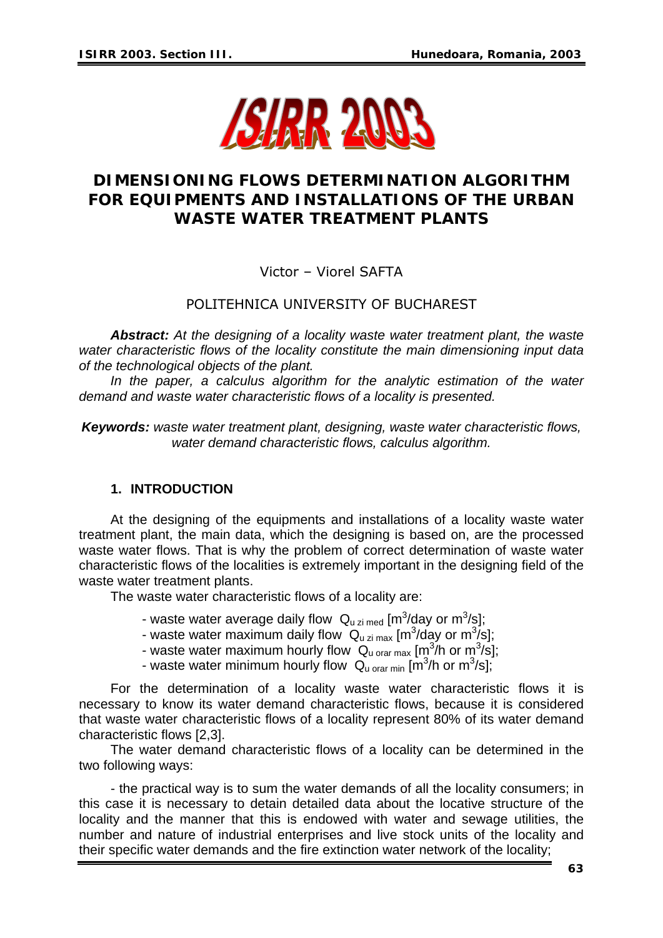

# **DIMENSIONING FLOWS DETERMINATION ALGORITHM FOR EQUIPMENTS AND INSTALLATIONS OF THE URBAN WASTE WATER TREATMENT PLANTS**

## Victor – Viorel SAFTA

# POLITEHNICA UNIVERSITY OF BUCHAREST

*Abstract: At the designing of a locality waste water treatment plant, the waste water characteristic flows of the locality constitute the main dimensioning input data of the technological objects of the plant.* 

In the paper, a calculus algorithm for the analytic estimation of the water *demand and waste water characteristic flows of a locality is presented.* 

*Keywords: waste water treatment plant, designing, waste water characteristic flows, water demand characteristic flows, calculus algorithm.* 

#### **1. INTRODUCTION**

At the designing of the equipments and installations of a locality waste water treatment plant, the main data, which the designing is based on, are the processed waste water flows. That is why the problem of correct determination of waste water characteristic flows of the localities is extremely important in the designing field of the waste water treatment plants.

The waste water characteristic flows of a locality are:

- waste water average daily flow  $Q_{u\,zi\,med}$  [m<sup>3</sup>/day or m<sup>3</sup>/s];
- waste water maximum daily flow  $Q_{u\,\text{zi}\,\text{max}}$  [m<sup>3</sup>/day or m<sup>3</sup>/s];
- waste water maximum hourly flow  $Q_{u \text{ orar max}}$  [m<sup>3</sup>/h or m<sup>3</sup>/s];
- waste water minimum hourly flow  $Q_{\text{u orar min}}$  [m<sup>3</sup>/h or m<sup>3</sup>/s];

For the determination of a locality waste water characteristic flows it is necessary to know its water demand characteristic flows, because it is considered that waste water characteristic flows of a locality represent 80% of its water demand characteristic flows [2,3].

 The water demand characteristic flows of a locality can be determined in the two following ways:

- the practical way is to sum the water demands of all the locality consumers; in this case it is necessary to detain detailed data about the locative structure of the locality and the manner that this is endowed with water and sewage utilities, the number and nature of industrial enterprises and live stock units of the locality and their specific water demands and the fire extinction water network of the locality;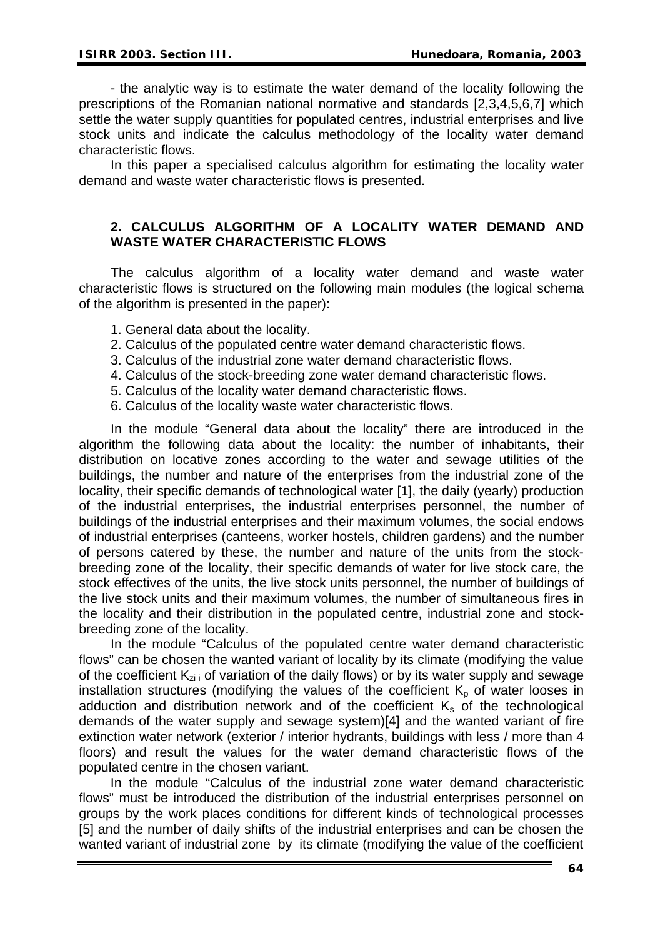- the analytic way is to estimate the water demand of the locality following the prescriptions of the Romanian national normative and standards [2,3,4,5,6,7] which settle the water supply quantities for populated centres, industrial enterprises and live stock units and indicate the calculus methodology of the locality water demand characteristic flows.

In this paper a specialised calculus algorithm for estimating the locality water demand and waste water characteristic flows is presented.

#### **2. CALCULUS ALGORITHM OF A LOCALITY WATER DEMAND AND WASTE WATER CHARACTERISTIC FLOWS**

The calculus algorithm of a locality water demand and waste water characteristic flows is structured on the following main modules (the logical schema of the algorithm is presented in the paper):

- 1. General data about the locality.
- 2. Calculus of the populated centre water demand characteristic flows.
- 3. Calculus of the industrial zone water demand characteristic flows.
- 4. Calculus of the stock-breeding zone water demand characteristic flows.
- 5. Calculus of the locality water demand characteristic flows.
- 6. Calculus of the locality waste water characteristic flows.

In the module "General data about the locality" there are introduced in the algorithm the following data about the locality: the number of inhabitants, their distribution on locative zones according to the water and sewage utilities of the buildings, the number and nature of the enterprises from the industrial zone of the locality, their specific demands of technological water [1], the daily (yearly) production of the industrial enterprises, the industrial enterprises personnel, the number of buildings of the industrial enterprises and their maximum volumes, the social endows of industrial enterprises (canteens, worker hostels, children gardens) and the number of persons catered by these, the number and nature of the units from the stockbreeding zone of the locality, their specific demands of water for live stock care, the stock effectives of the units, the live stock units personnel, the number of buildings of the live stock units and their maximum volumes, the number of simultaneous fires in the locality and their distribution in the populated centre, industrial zone and stockbreeding zone of the locality.

In the module "Calculus of the populated centre water demand characteristic flows" can be chosen the wanted variant of locality by its climate (modifying the value of the coefficient  $K_{zi}$  of variation of the daily flows) or by its water supply and sewage installation structures (modifying the values of the coefficient  $K_p$  of water looses in adduction and distribution network and of the coefficient  $K<sub>s</sub>$  of the technological demands of the water supply and sewage system)[4] and the wanted variant of fire extinction water network (exterior / interior hydrants, buildings with less / more than 4 floors) and result the values for the water demand characteristic flows of the populated centre in the chosen variant.

In the module "Calculus of the industrial zone water demand characteristic flows" must be introduced the distribution of the industrial enterprises personnel on groups by the work places conditions for different kinds of technological processes [5] and the number of daily shifts of the industrial enterprises and can be chosen the wanted variant of industrial zone by its climate (modifying the value of the coefficient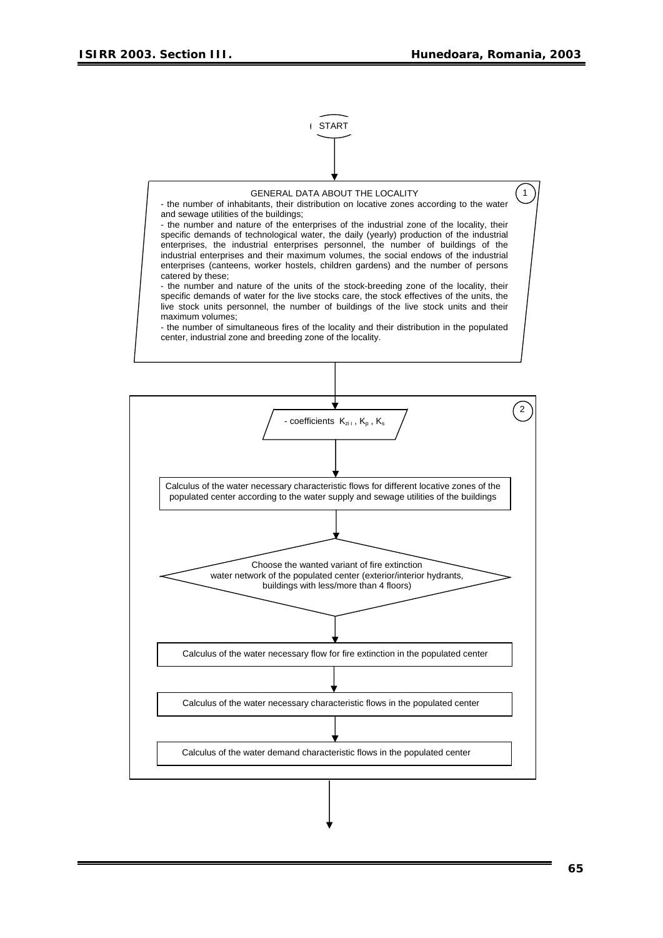

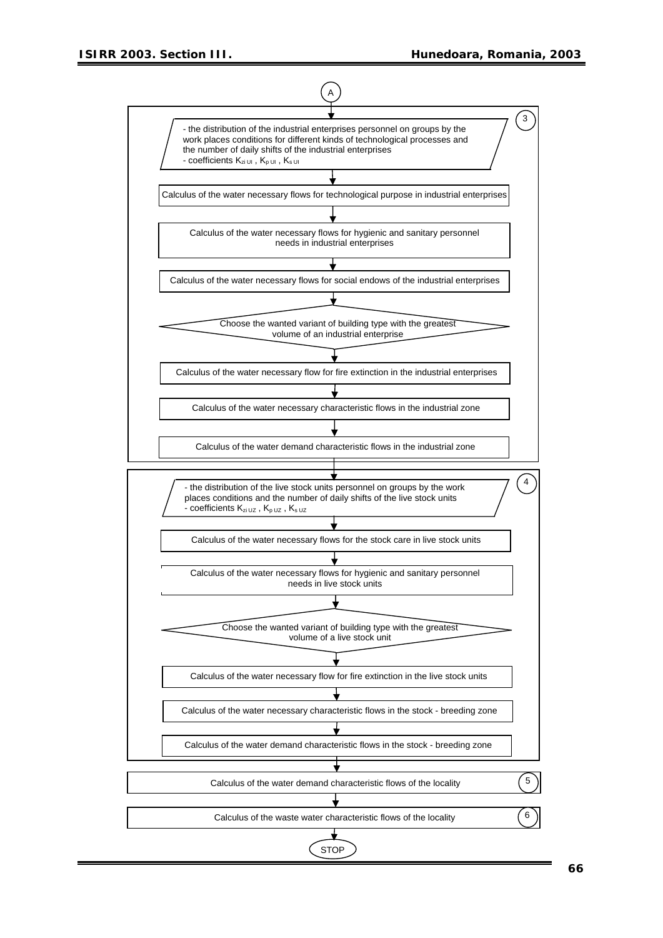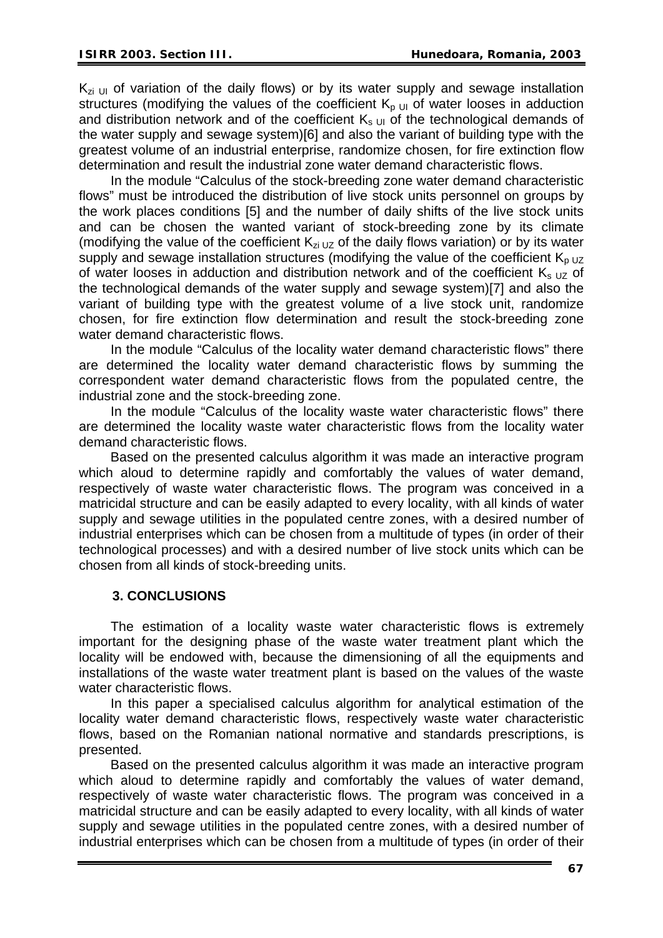$K_{zi}$  UI of variation of the daily flows) or by its water supply and sewage installation structures (modifying the values of the coefficient  $K_{p \cup l}$  of water looses in adduction and distribution network and of the coefficient  $K_{s, U}$  of the technological demands of the water supply and sewage system)[6] and also the variant of building type with the greatest volume of an industrial enterprise, randomize chosen, for fire extinction flow determination and result the industrial zone water demand characteristic flows.

In the module "Calculus of the stock-breeding zone water demand characteristic flows" must be introduced the distribution of live stock units personnel on groups by the work places conditions [5] and the number of daily shifts of the live stock units and can be chosen the wanted variant of stock-breeding zone by its climate (modifying the value of the coefficient  $K_{\text{z1 UZ}}$  of the daily flows variation) or by its water supply and sewage installation structures (modifying the value of the coefficient  $K<sub>o UZ</sub>$ of water looses in adduction and distribution network and of the coefficient  $K_s$   $_{UZ}$  of the technological demands of the water supply and sewage system)[7] and also the variant of building type with the greatest volume of a live stock unit, randomize chosen, for fire extinction flow determination and result the stock-breeding zone water demand characteristic flows.

In the module "Calculus of the locality water demand characteristic flows" there are determined the locality water demand characteristic flows by summing the correspondent water demand characteristic flows from the populated centre, the industrial zone and the stock-breeding zone.

In the module "Calculus of the locality waste water characteristic flows" there are determined the locality waste water characteristic flows from the locality water demand characteristic flows.

Based on the presented calculus algorithm it was made an interactive program which aloud to determine rapidly and comfortably the values of water demand, respectively of waste water characteristic flows. The program was conceived in a matricidal structure and can be easily adapted to every locality, with all kinds of water supply and sewage utilities in the populated centre zones, with a desired number of industrial enterprises which can be chosen from a multitude of types (in order of their technological processes) and with a desired number of live stock units which can be chosen from all kinds of stock-breeding units.

# **3. CONCLUSIONS**

The estimation of a locality waste water characteristic flows is extremely important for the designing phase of the waste water treatment plant which the locality will be endowed with, because the dimensioning of all the equipments and installations of the waste water treatment plant is based on the values of the waste water characteristic flows.

In this paper a specialised calculus algorithm for analytical estimation of the locality water demand characteristic flows, respectively waste water characteristic flows, based on the Romanian national normative and standards prescriptions, is presented.

Based on the presented calculus algorithm it was made an interactive program which aloud to determine rapidly and comfortably the values of water demand, respectively of waste water characteristic flows. The program was conceived in a matricidal structure and can be easily adapted to every locality, with all kinds of water supply and sewage utilities in the populated centre zones, with a desired number of industrial enterprises which can be chosen from a multitude of types (in order of their